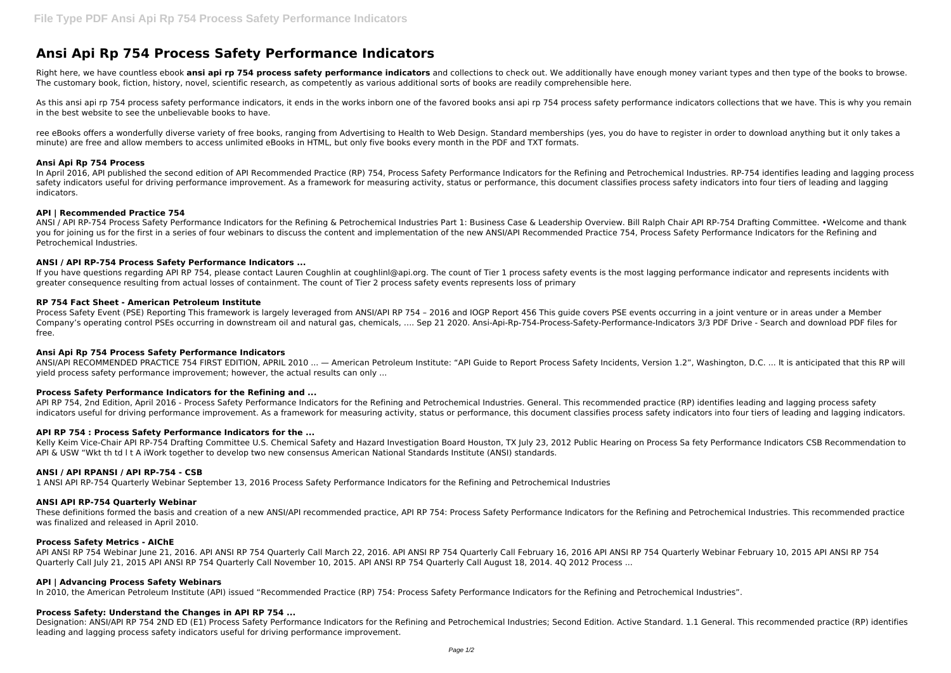# **Ansi Api Rp 754 Process Safety Performance Indicators**

Right here, we have countless ebook ansi api rp 754 process safety performance indicators and collections to check out. We additionally have enough money variant types and then type of the books to browse. The customary book, fiction, history, novel, scientific research, as competently as various additional sorts of books are readily comprehensible here.

As this ansi api rp 754 process safety performance indicators, it ends in the works inborn one of the favored books ansi api rp 754 process safety performance indicators collections that we have. This is why you remain in the best website to see the unbelievable books to have.

ree eBooks offers a wonderfully diverse variety of free books, ranging from Advertising to Health to Web Design. Standard memberships (yes, you do have to register in order to download anything but it only takes a minute) are free and allow members to access unlimited eBooks in HTML, but only five books every month in the PDF and TXT formats.

## **Ansi Api Rp 754 Process**

If you have questions regarding API RP 754, please contact Lauren Coughlin at coughlin at coughlin at coughlin at cough of Tier 1 process safety events is the most lagging performance indicator and represents incidents wit greater consequence resulting from actual losses of containment. The count of Tier 2 process safety events represents loss of primary

In April 2016, API published the second edition of API Recommended Practice (RP) 754, Process Safety Performance Indicators for the Refining and Petrochemical Industries. RP-754 identifies leading and lagging process safety indicators useful for driving performance improvement. As a framework for measuring activity, status or performance, this document classifies process safety indicators into four tiers of leading and lagging indicators.

#### **API | Recommended Practice 754**

ANSI/API RECOMMENDED PRACTICE 754 FIRST EDITION, APRIL 2010 ... — American Petroleum Institute: "API Guide to Report Process Safety Incidents, Version 1.2", Washington, D.C. ... It is anticipated that this RP will yield process safety performance improvement; however, the actual results can only ...

ANSI / API RP-754 Process Safety Performance Indicators for the Refining & Petrochemical Industries Part 1: Business Case & Leadership Overview. Bill Ralph Chair API RP-754 Drafting Committee. •Welcome and thank you for joining us for the first in a series of four webinars to discuss the content and implementation of the new ANSI/API Recommended Practice 754. Process Safety Performance Indicators for the Refining and Petrochemical Industries.

API RP 754, 2nd Edition, April 2016 - Process Safety Performance Indicators for the Refining and Petrochemical Industries. General. This recommended practice (RP) identifies leading and lagging process safety indicators useful for driving performance improvement. As a framework for measuring activity, status or performance, this document classifies process safety indicators into four tiers of leading and lagging indicators.

## **ANSI / API RP-754 Process Safety Performance Indicators ...**

Kelly Keim Vice-Chair API RP-754 Drafting Committee U.S. Chemical Safety and Hazard Investigation Board Houston, TX July 23, 2012 Public Hearing on Process Sa fety Performance Indicators CSB Recommendation to API & USW "Wkt th td l t A iWork together to develop two new consensus American National Standards Institute (ANSI) standards.

#### **RP 754 Fact Sheet - American Petroleum Institute**

Process Safety Event (PSE) Reporting This framework is largely leveraged from ANSI/API RP 754 – 2016 and IOGP Report 456 This guide covers PSE events occurring in a joint venture or in areas under a Member Company's operating control PSEs occurring in downstream oil and natural gas, chemicals, …. Sep 21 2020. Ansi-Api-Rp-754-Process-Safety-Performance-Indicators 3/3 PDF Drive - Search and download PDF files for free.

## **Ansi Api Rp 754 Process Safety Performance Indicators**

## **Process Safety Performance Indicators for the Refining and ...**

## **API RP 754 : Process Safety Performance Indicators for the ...**

#### **ANSI / API RPANSI / API RP-754 - CSB**

1 ANSI API RP-754 Quarterly Webinar September 13, 2016 Process Safety Performance Indicators for the Refining and Petrochemical Industries

#### **ANSI API RP-754 Quarterly Webinar**

These definitions formed the basis and creation of a new ANSI/API recommended practice, API RP 754: Process Safety Performance Indicators for the Refining and Petrochemical Industries. This recommended practice was finalized and released in April 2010.

## **Process Safety Metrics - AIChE**

API ANSI RP 754 Webinar June 21, 2016. API ANSI RP 754 Quarterly Call March 22, 2016. API ANSI RP 754 Quarterly Call February 16, 2016 API ANSI RP 754 Quarterly Webinar February 10, 2015 API ANSI RP 754 Quarterly Call July 21, 2015 API ANSI RP 754 Quarterly Call November 10, 2015. API ANSI RP 754 Quarterly Call August 18, 2014. 4Q 2012 Process ...

## **API | Advancing Process Safety Webinars**

In 2010, the American Petroleum Institute (API) issued "Recommended Practice (RP) 754: Process Safety Performance Indicators for the Refining and Petrochemical Industries".

## **Process Safety: Understand the Changes in API RP 754 ...**

Designation: ANSI/API RP 754 2ND ED (E1) Process Safety Performance Indicators for the Refining and Petrochemical Industries; Second Edition. Active Standard. 1.1 General. This recommended practice (RP) identifies leading and lagging process safety indicators useful for driving performance improvement.